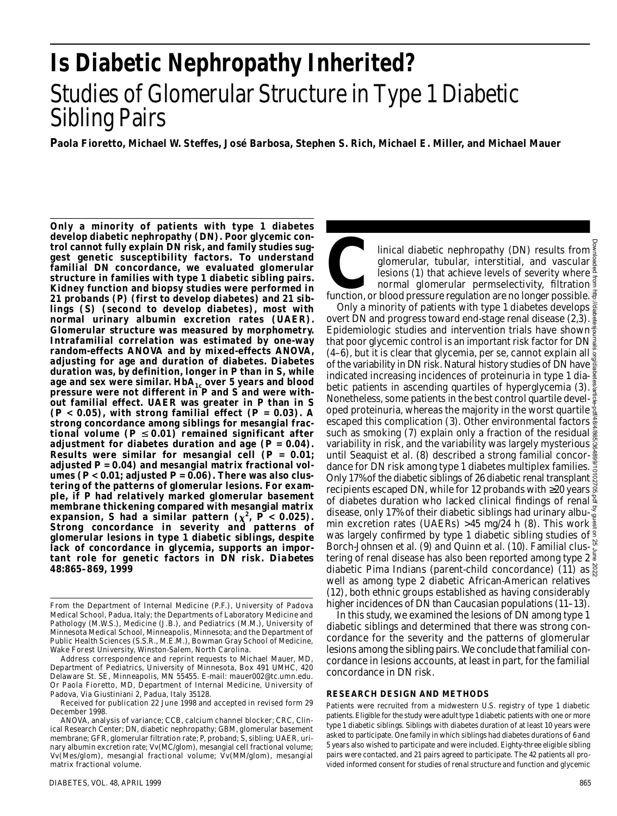# **Is Diabetic Nephropathy Inherited?** Studies of Glomerular Structure in Type 1 Diabetic Sibling Pairs

**Paola Fioretto, Michael W. Steffes, José Barbosa, Stephen S. Rich, Michael E. Miller, and Michael Mauer**

**Only a minority of patients with type 1 diabetes develop diabetic nephropathy (DN). Poor glycemic control cannot fully explain DN risk, and family studies suggest genetic susceptibility factors. To understand familial DN concordance, we evaluated glomerular structure in families with type 1 diabetic sibling pairs. Kidney function and biopsy studies were performed in 21 probands (P) (first to develop diabetes) and 21 siblings (S) (second to develop diabetes), most with normal urinary albumin excretion rates (UAER). Glomerular structure was measured by morphometry. Intrafamilial correlation was estimated by one-way** random-effects ANOVA and by mixed-effects ANOVA, **adjusting for age and duration of diabetes. Diabetes duration was, by definition, longer in P than in S, while** age and sex were similar. HbA<sub>1c</sub> over 5 years and blood **pressure were not different in P and S and were without familial effect. UAER was greater in P than in S (***P* **< 0.05), with strong familial effect (***P* **= 0.03). A strong concordance among siblings for mesangial fractional volume (***P* **0.01) remained significant after adjustment for diabetes duration and age (***P* **= 0.04). Results were similar for mesangial cell**  $(P = 0.01)$ **; adjusted** *P* **= 0.04) and mesangial matrix fractional vol**umes ( $P < 0.01$ ; adjusted  $P = 0.06$ ). There was also clus**tering of the patterns of glomerular lesions. For example, if P had relatively marked glomerular basement membrane thickening compared with mesangial matrix** expansion, S had a similar pattern  $(\chi^2, \vec{P} < 0.025)$ . **Strong concordance in severity and patterns of glomerular lesions in type 1 diabetic siblings, despite lack of concordance in glycemia, supports an impor**tant role for genetic factors in DN risk. *Diabetes* **48:865–869, 1999**

Received for publication 22 June 1998 and accepted in revised form 29 December 1998.

Inical diabetic nephropathy (DN) results from<br>glomerular, tubular, interstitial, and vascular<br>lesions (1) that achieve levels of severity where<br>normal glomerular permselectivity, filtration<br>function, or blood pressure regu linical diabetic nephropathy (DN) results from  $\frac{2}{3}$ q lomerular, tubular, interstitial, and vascular lesions (1) that achieve levels of severity where  $\frac{8}{3}$ normal glomerular permselectivity, filtration  $\frac{3}{2}$ 

Only a minority of patients with type 1 diabetes develops  $\frac{5}{8}$ overt DN and progress toward end-stage renal disease (2,3). Epidemiologic studies and intervention trials have shown<sup>8</sup> that poor glycemic control is an important risk factor for DN  $\frac{1}{8}$ (4–6), but it is clear that glycemia, per se, cannot explain all  $\frac{5}{9}$ of the variability in DN risk. Natural history studies of DN have  $\frac{8}{8}$ indicated increasing incidences of proteinuria in type 1 diabetic patients in ascending quartiles of hyperglycemia (3). Nonetheless, some patients in the best control quartile developed proteinuria, whereas the majority in the worst quartile  $\frac{1}{2}$ escaped this complication (3). Other environmental factors such as smoking (7) explain only a fraction of the residual  $\frac{5}{8}$ variability in risk, and the variability was largely mysterious  $\frac{8}{9}$ until Seaquist et al. (8) described a strong familial concordance for DN risk among type 1 diabetes multiplex families.  $\frac{8}{6}$ Only 17% of the diabetic siblings of 26 diabetic renal transplant recipients escaped DN, while for 12 probands with 20 years  $\frac{3}{9}$ of diabetes duration who lacked clinical findings of renal  $\frac{8}{3}$ disease, only 17% of their diabetic siblings had urinary albumin excretion rates (UAERs) > 45 mg/24 h (8). This work  $\frac{3}{4}$ was largely confirmed by type 1 diabetic sibling studies of  $\frac{9}{5}$ Borch-Johnsen et al. (9) and Quinn et al. (10). Familial clus- $\frac{\aleph}{2}$ tering of renal disease has also been reported among type 2 diabetic Pima Indians (parent-child concordance) (11) as  $\frac{8}{5}$ well as among type 2 diabetic African-American relatives (12), both ethnic groups established as having considerably higher incidences of DN than Caucasian populations (11–13). Downloaded from http://diabetesjournals.org/diabetes/article-pdf/48/4/865/364899/10102705.pdf by guest on 25 June 2022

In this study, we examined the lesions of DN among type 1 diabetic siblings and determined that there was strong concordance for the severity and the patterns of glomerular lesions among the sibling pairs. We conclude that familial concordance in lesions accounts, at least in part, for the familial concordance in DN risk.

#### **RESEARCH DESIGN AND METHODS**

Patients were recruited from a midwestern U.S. registry of type 1 diabetic patients. Eligible for the study were adult type 1 diabetic patients with one or more type 1 diabetic siblings. Siblings with diabetes duration of at least 10 years were asked to participate. One family in which siblings had diabetes durations of 6 and 5 years also wished to participate and were included. Eighty-three eligible sibling pairs were contacted, and 21 pairs agreed to participate. The 42 patients all provided informed consent for studies of renal structure and function and glycemic

From the Department of Internal Medicine (P.F.), University of Padova Medical School, Padua, Italy; the Departments of Laboratory Medicine and Pathology (M.W.S.), Medicine (J.B.), and Pediatrics (M.M.), University of Minnesota Medical School, Minneapolis, Minnesota; and the Department of Public Health Sciences (S.S.R., M.E.M.), Bowman Gray School of Medicine, Wake Forest University, Winston-Salem, North Carolina.

Address correspondence and reprint requests to Michael Mauer, MD, Department of Pediatrics, University of Minnesota, Box 491 UMHC, 420 Delaware St. SE, Minneapolis, MN 55455. E-mail: mauer002@tc.umn.edu. Or Paola Fioretto, MD, Department of Internal Medicine, University of Padova, Via Giustiniani 2, Padua, Italy 35128.

ANOVA, analysis of variance; CCB, calcium channel blocker; CRC, Clinical Research Center; DN, diabetic nephropathy; GBM, glomerular basement membrane; GFR, glomerular filtration rate; P, proband; S, sibling; UAER, urinary albumin excretion rate; Vv(MC/glom), mesangial cell fractional volume; Vv(Mes/glom), mesangial fractional volume; Vv(MM/glom), mesangial matrix fractional volume.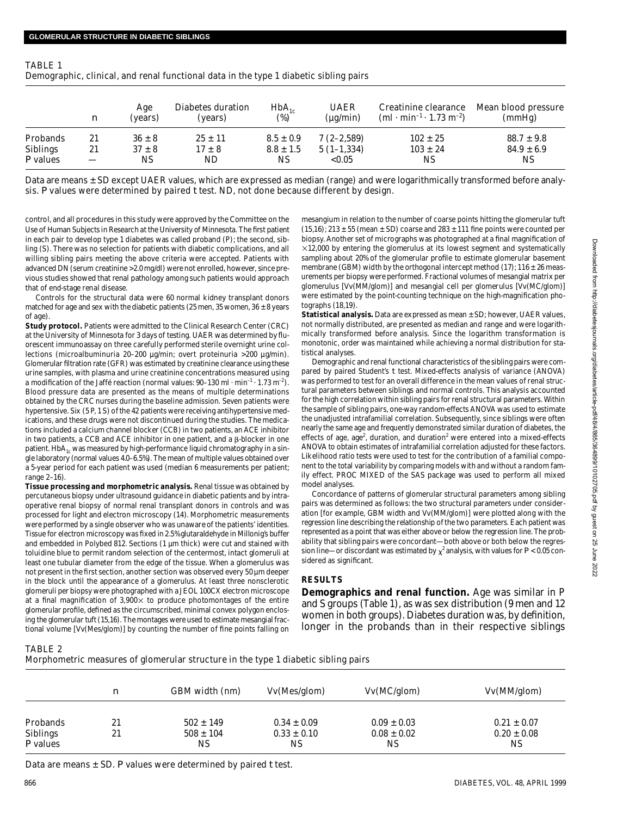| TABLE 1                                                                               |
|---------------------------------------------------------------------------------------|
| Demographic, clinical, and renal functional data in the type 1 diabetic sibling pairs |
|                                                                                       |

|                 | $\boldsymbol{n}$ | Age<br>(years) | Diabetes duration<br>(vears) | $HbA_{1c}$<br>$(\%)$ | UAER<br>(ua/min) | Creatinine clearance<br>(ml $\cdot$ min <sup>-1</sup> $\cdot$ 1.73 m <sup>-2</sup> ) | Mean blood pressure<br>(mmHq) |
|-----------------|------------------|----------------|------------------------------|----------------------|------------------|--------------------------------------------------------------------------------------|-------------------------------|
| Probands        | 21               | $36 \pm 8$     | $25 \pm 11$                  | $8.5 \pm 0.9$        | $7(2 - 2.589)$   | $102 \pm 25$                                                                         | $88.7 \pm 9.8$                |
| Siblings        | 21               | $37 \pm 8$     | $17 \pm 8$                   | $8.8 \pm 1.5$        | $5(1-1,334)$     | $103 \pm 24$                                                                         | $84.9 \pm 6.9$                |
| <i>P</i> values |                  | ΝS             | ND.                          | NS.                  | < 0.05           | ΝS                                                                                   | ΝS                            |

Data are means ± SD except UAER values, which are expressed as median (range) and were logarithmically transformed before analysis. *P* values were determined by paired *t* test. ND, not done because different by design.

control, and all procedures in this study were approved by the Committee on the Use of Human Subjects in Research at the University of Minnesota. The first patient in each pair to develop type 1 diabetes was called proband (P); the second, sibling (S). There was no selection for patients with diabetic complications, and all willing sibling pairs meeting the above criteria were accepted. Patients with advanced DN (serum creatinine >2.0 mg/dl) were not enrolled, however, since previous studies showed that renal pathology among such patients would approach that of end-stage renal disease.

Controls for the structural data were 60 normal kidney transplant donors matched for age and sex with the diabetic patients (25 men, 35 women, 36  $\pm$  8 years of age).

**Study protocol.** Patients were admitted to the Clinical Research Center (CRC) at the University of Minnesota for 3 days of testing. UAER was determined by fluorescent immunoassay on three carefully performed sterile overnight urine collections (microalbuminuria 20–200 µg/min; overt proteinuria >200 µg/min). Glomerular filtration rate (GFR) was estimated by creatinine clearance using these urine samples, with plasma and urine creatinine concentrations measured using a modification of the Jaffé reaction (normal values:  $90-130$  ml  $\cdot$  min<sup>-1</sup>  $\cdot$  1.73 m<sup>-2</sup>). Blood pressure data are presented as the means of multiple determinations obtained by the CRC nurses during the baseline admission. Seven patients were hypertensive. Six (5 P, 1 S) of the 42 patients were receiving antihypertensive medications, and these drugs were not discontinued during the studies. The medications included a calcium channel blocker (CCB) in two patients, an ACE inhibitor in two patients, a CCB and ACE inhibitor in one patient, and a  $\beta$ -blocker in one patient. Hb $A_{1c}$  was measured by high-performance liquid chromatography in a single laboratory (normal values 4.0–6.5%). The mean of multiple values obtained over a 5-year period for each patient was used (median 6 measurements per patient; range 2–16).

**Tissue processing and morphometric analysis.** Renal tissue was obtained by percutaneous biopsy under ultrasound guidance in diabetic patients and by intraoperative renal biopsy of normal renal transplant donors in controls and was processed for light and electron microscopy (14). Morphometric measurements were performed by a single observer who was unaware of the patients' identities. Tissue for electron microscopy was fixed in 2.5% glutaraldehyde in Millonig's buffer and embedded in Polybed 812. Sections (1 µm thick) were cut and stained with toluidine blue to permit random selection of the centermost, intact glomeruli at least one tubular diameter from the edge of the tissue. When a glomerulus was not present in the first section, another section was observed every 50 um deeper in the block until the appearance of a glomerulus. At least three nonsclerotic glomeruli per biopsy were photographed with a JEOL 100CX electron microscope at a final magnification of  $3,900 \times$  to produce photomontages of the entire glomerular profile, defined as the circumscribed, minimal convex polygon enclosing the glomerular tuft (15,16). The montages were used to estimate mesangial fractional volume [Vv(Mes/glom)] by counting the number of fine points falling on mesangium in relation to the number of coarse points hitting the glomerular tuft  $(15,16)$ ; 213  $\pm$  55 (mean  $\pm$  SD) coarse and 283  $\pm$  111 fine points were counted per biopsy. Another set of micrographs was photographed at a final magnification of  $\times$ 12,000 by entering the glomerulus at its lowest segment and systematically sampling about 20% of the glomerular profile to estimate glomerular basement membrane (GBM) width by the orthogonal intercept method (17);  $116 \pm 26$  measurements per biopsy were performed. Fractional volumes of mesangial matrix per glomerulus [Vv(MM/glom)] and mesangial cell per glomerulus [Vv(MC/glom)] were estimated by the point-counting technique on the high-magnification photographs (18,19).

**Statistical analysis.** Data are expressed as mean ± SD; however, UAER values, not normally distributed, are presented as median and range and were logarithmically transformed before analysis. Since the logarithm transformation is monotonic, order was maintained while achieving a normal distribution for statistical analyses.

Demographic and renal functional characteristics of the sibling pairs were compared by paired Student's *t* test. Mixed-effects analysis of variance (ANOVA) was performed to test for an overall difference in the mean values of renal structural parameters between siblings and normal controls. This analysis accounted for the high correlation within sibling pairs for renal structural parameters. Within the sample of sibling pairs, one-way random-effects ANOVA was used to estimate the unadjusted intrafamilial correlation. Subsequently, since siblings were often nearly the same age and frequently demonstrated similar duration of diabetes, the effects of age, age<sup>2</sup>, duration, and duration<sup>2</sup> were entered into a mixed-effects ANOVA to obtain estimates of intrafamilial correlation adjusted for these factors. Likelihood ratio tests were used to test for the contribution of a familial component to the total variability by comparing models with and without a random family effect. PROC MIXED of the SAS package was used to perform all mixed model analyses.

Concordance of patterns of glomerular structural parameters among sibling pairs was determined as follows: the two structural parameters under consideration [for example, GBM width and Vv(MM/glom)] were plotted along with the regression line describing the relationship of the two parameters. Each patient was represented as a point that was either above or below the regression line. The probability that sibling pairs were concordant—both above or both below the regression line—or discordant was estimated by  $\chi^2$  analysis, with values for  $P$  < 0.05 considered as significant.

# **RESULTS**

**Demographics and renal function.** Age was similar in P and S groups (Table 1), as was sex distribution (9 men and 12 women in both groups). Diabetes duration was, by definition, longer in the probands than in their respective siblings

# TABLE 2

Morphometric measures of glomerular structure in the type 1 diabetic sibling pairs

|                             | n  | GBM width (nm)      | Vv(Mes/glom)          | Vv(MC/glom)           | Vv(MM/glom)           |  |
|-----------------------------|----|---------------------|-----------------------|-----------------------|-----------------------|--|
| Probands                    | 21 | $502 \pm 149$       | $0.34 \pm 0.09$       | $0.09 \pm 0.03$       | $0.21 \pm 0.07$       |  |
| Siblings<br><i>P</i> values | 21 | $508 \pm 104$<br>ΝS | $0.33 \pm 0.10$<br>ΝS | $0.08 \pm 0.02$<br>ΝS | $0.20 \pm 0.08$<br>ΝS |  |

Data are means  $\pm$  SD. P values were determined by paired *t* test.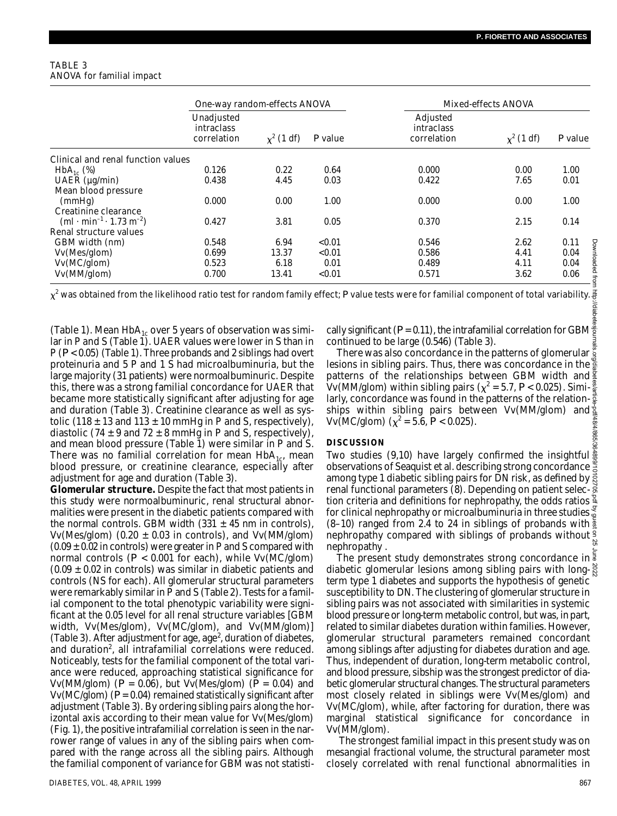### TABLE 3 ANOVA for familial impact

|                                                              |                                                | One-way random-effects ANOVA |           |                                       | Mixed-effects ANOVA |           |  |
|--------------------------------------------------------------|------------------------------------------------|------------------------------|-----------|---------------------------------------|---------------------|-----------|--|
|                                                              | Unadjusted<br><i>intraclass</i><br>correlation | $x^2$ (1 df)                 | $P$ value | Adjusted<br>intraclass<br>correlation | $\chi^2$ (1 df)     | $P$ value |  |
| Clinical and renal function values                           |                                                |                              |           |                                       |                     |           |  |
| $HbA_{1c}$ (%)                                               | 0.126                                          | 0.22                         | 0.64      | 0.000                                 | 0.00                | 1.00      |  |
| UAER $(\mu g/min)$                                           | 0.438                                          | 4.45                         | 0.03      | 0.422                                 | 7.65                | 0.01      |  |
| Mean blood pressure                                          |                                                |                              |           |                                       |                     |           |  |
| (mmHg)                                                       | 0.000                                          | 0.00                         | 1.00      | 0.000                                 | 0.00                | 1.00      |  |
| Creatinine clearance                                         |                                                |                              |           |                                       |                     |           |  |
| (ml $\cdot$ min <sup>-1</sup> $\cdot$ 1.73 m <sup>-2</sup> ) | 0.427                                          | 3.81                         | 0.05      | 0.370                                 | 2.15                | 0.14      |  |
| Renal structure values                                       |                                                |                              |           |                                       |                     |           |  |
| GBM width (nm)                                               | 0.548                                          | 6.94                         | < 0.01    | 0.546                                 | 2.62                | 0.11<br>ड |  |
| Vv(Mes/glom)                                                 | 0.699                                          | 13.37                        | < 0.01    | 0.586                                 | 4.41                | 0.04      |  |
| Vv(MC/glom)                                                  | 0.523                                          | 6.18                         | 0.01      | 0.489                                 | 4.11                | 0.04      |  |
| Vv(MM/glom)                                                  | 0.700                                          | 13.41                        | < 0.01    | 0.571                                 | 3.62                | 0.06      |  |

 $\chi^2$  was obtained from the likelihood ratio test for random family effect; *P* value tests were for familial component of total variability.

(Table 1). Mean  $HbA_{1c}$  over 5 years of observation was similar in P and S (Table 1). UAER values were lower in S than in P (*P* < 0.05) (Table 1). Three probands and 2 siblings had overt proteinuria and 5 P and 1 S had microalbuminuria, but the large majority (31 patients) were normoalbuminuric. Despite this, there was a strong familial concordance for UAER that became more statistically significant after adjusting for age and duration (Table 3). Creatinine clearance as well as systolic (118  $\pm$  13 and 113  $\pm$  10 mmHg in P and S, respectively), diastolic (74  $\pm$  9 and 72  $\pm$  8 mmHg in P and S, respectively), and mean blood pressure (Table 1) were similar in P and S. There was no familial correlation for mean  $HbA_{1c}$ , mean blood pressure, or creatinine clearance, especially after adjustment for age and duration (Table 3).

**Glomerular structure.** Despite the fact that most patients in this study were normoalbuminuric, renal structural abnormalities were present in the diabetic patients compared with the normal controls. GBM width  $(331 \pm 45 \text{ nm}$  in controls), Vv(Mes/glom) (0.20  $\pm$  0.03 in controls), and Vv(MM/glom)  $(0.09 \pm 0.02$  in controls) were greater in P and S compared with normal controls (*P* < 0.001 for each), while Vv(MC/glom)  $(0.09 \pm 0.02$  in controls) was similar in diabetic patients and controls (NS for each). All glomerular structural parameters were remarkably similar in P and S (Table 2). Tests for a familial component to the total phenotypic variability were significant at the 0.05 level for all renal structure variables [GBM width, Vv(Mes/glom), Vv(MC/glom), and Vv(MM/glom)] (Table 3). After adjustment for age, age<sup>2</sup>, duration of diabetes, and duration<sup>2</sup>, all intrafamilial correlations were reduced. Noticeably, tests for the familial component of the total variance were reduced, approaching statistical significance for Vv(MM/glom) (*P* = 0.06), but Vv(Mes/glom) (*P* = 0.04) and Vv(MC/glom) (*P*= 0.04) remained statistically significant after adjustment (Table 3). By ordering sibling pairs along the horizontal axis according to their mean value for Vv(Mes/glom) (Fig. 1), the positive intrafamilial correlation is seen in the narrower range of values in any of the sibling pairs when compared with the range across all the sibling pairs. Although the familial component of variance for GBM was not statistically significant ( $P = 0.11$ ), the intrafamilial correlation for GBM $\frac{8}{2}$ continued to be large (0.546) (Table 3).

There was also concordance in the patterns of glomerular lesions in sibling pairs. Thus, there was concordance in the  $\frac{8}{8}$ patterns of the relationships between GBM width and  $\frac{5}{2}$ Vv(MM/glom) within sibling pairs ( $\chi^2$  = 5.7,  $P$  < 0.025). Similarly, concordance was found in the patterns of the relation- $\frac{2}{8}$ ships within sibling pairs between Vv(MM/glom) and  $\frac{1}{3}$  $Vv(MC/glom)$  ( $\chi^2$  = 5.6, *P* < 0.025). 48/4/865/36

# **DISCUSSION**

Two studies (9,10) have largely confirmed the insightful  $\frac{5}{6}$  observations of Secretiated al describing strong concordance observations of Seaquist et al. describing strong concordance  $\frac{8}{6}$ among type 1 diabetic sibling pairs for DN risk, as defined by  $\bar{\vec{s}}$ renal functional parameters (8). Depending on patient selection criteria and definitions for nephropathy, the odds ratios  $\frac{8}{5}$ for clinical nephropathy or microalbuminuria in three studies  $(8-10)$  ranged from 2.4 to 24 in siblings of probands with  $\frac{3}{4}$ nephropathy compared with siblings of probands without  $\frac{9}{5}$ nephropathy . Downloaded from http://diabetesjournals.org/diabetes/article-pdf/48/4/865/364899/10102705.pdf by guest on 25 June 2022

The present study demonstrates strong concordance in diabetic glomerular lesions among sibling pairs with longterm type 1 diabetes and supports the hypothesis of genetic susceptibility to DN. The clustering of glomerular structure in sibling pairs was not associated with similarities in systemic blood pressure or long-term metabolic control, but was, in part, related to similar diabetes duration within families. However, glomerular structural parameters remained concordant among siblings after adjusting for diabetes duration and age. Thus, independent of duration, long-term metabolic control, and blood pressure, sibship was the strongest predictor of diabetic glomerular structural changes. The structural parameters most closely related in siblings were Vv(Mes/glom) and Vv(MC/glom), while, after factoring for duration, there was marginal statistical significance for concordance in Vv(MM/glom).

The strongest familial impact in this present study was on mesangial fractional volume, the structural parameter most closely correlated with renal functional abnormalities in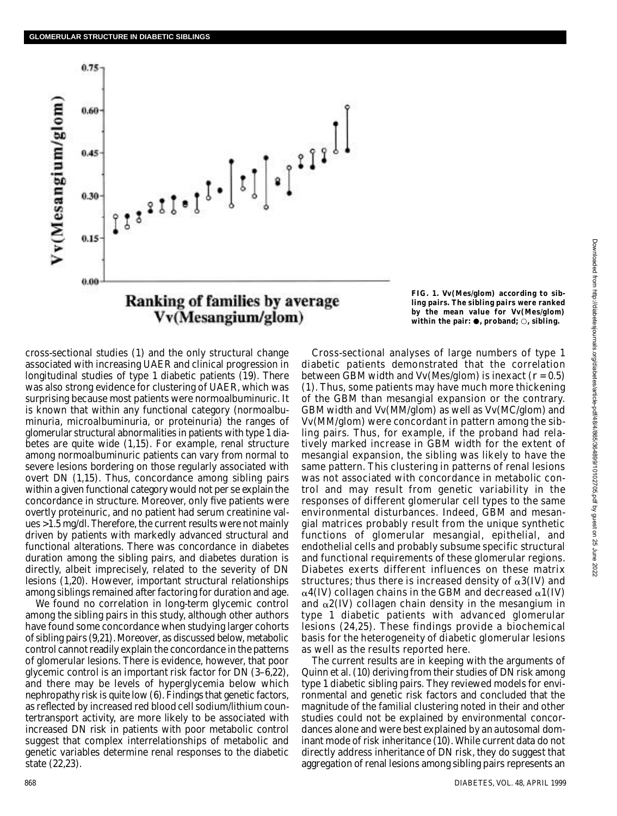

**FIG. 1. Vv(Mes/glom) according to sibling pairs. The sibling pairs were ranked by the mean value for Vv(Mes/glom)** within the pair:  $\bullet$ , proband;  $\circ$ , sibling.

c ross-sectional studies (1) and the only structural change associated with increasing UAER and clinical progression in longitudinal studies of type 1 diabetic patients (19). There was also strong evidence for clustering of UAER, which was surprising because most patients were normoalbuminuric. It is known that within any functional category (normoalbuminuria, microalbuminuria, or proteinuria) the ranges of glomerular structural abnormalities in patients with type 1 diabetes are quite wide (1,15). For example, renal structure among normoalbuminuric patients can vary from normal to severe lesions bordering on those regularly associated with overt DN (1,15). Thus, concordance among sibling pairs within a given functional category would not per se explain the concordance in structure. Moreover, only five patients were overtly proteinuric, and no patient had serum creatinine values >1.5 mg/dl. Therefore, the current results were not mainly driven by patients with markedly advanced structural and functional alterations. There was concordance in diabetes duration among the sibling pairs, and diabetes duration is directly, albeit imprecisely, related to the severity of DN lesions (1,20). However, important structural relationships among siblings remained after factoring for duration and age.

We found no correlation in long-term glycemic control among the sibling pairs in this study, although other authors have found some concordance when studying larger cohorts of sibling pairs (9,21). Moreover, as discussed below, metabolic control cannot readily explain the concordance in the patterns of glomerular lesions. There is evidence, however, that poor glycemic control is an important risk factor for DN (3–6,22), and there may be levels of hyperglycemia below which nephropathy risk is quite low (6). Findings that genetic factors, as reflected by increased red blood cell sodium/lithium countertransport activity, are more likely to be associated with increased DN risk in patients with poor metabolic control suggest that complex interrelationships of metabolic and genetic variables determine renal responses to the diabetic state (22,23).

Cross-sectional analyses of large numbers of type 1 diabetic patients demonstrated that the correlation between GBM width and Vv(Mes/glom) is inexact (*r* = 0.5) (1). Thus, some patients may have much more thickening of the GBM than mesangial expansion or the contrary. GBM width and Vv(MM/glom) as well as Vv(MC/glom) and Vv(MM/glom) were concordant in pattern among the sibling pairs. Thus, for example, if the proband had relatively marked increase in GBM width for the extent of mesangial expansion, the sibling was likely to have the same pattern. This clustering in patterns of renal lesions was not associated with concordance in metabolic control and may result from genetic variability in the responses of different glomerular cell types to the same environmental disturbances. Indeed, GBM and mesangial matrices probably result from the unique synthetic functions of glomerular mesangial, epithelial, and endothelial cells and probably subsume specific structural and functional requirements of these glomerular regions. Diabetes exerts different influences on these matrix structures; thus there is increased density of  $\alpha$ 3(IV) and  $\alpha$ 4(IV) collagen chains in the GBM and decreased  $\alpha$ 1(IV) and  $\alpha$ 2(IV) collagen chain density in the mesangium in type 1 diabetic patients with advanced glomerular lesions (24,25). These findings provide a biochemical basis for the heterogeneity of diabetic glomerular lesions as well as the results reported here.

The current results are in keeping with the arguments of Quinn et al. (10) deriving from their studies of DN risk among type 1 diabetic sibling pairs. They reviewed models for environmental and genetic risk factors and concluded that the magnitude of the familial clustering noted in their and other studies could not be explained by environmental concordances alone and were best explained by an autosomal dominant mode of risk inheritance (10). While current data do not directly address inheritance of DN risk, they do suggest that aggregation of renal lesions among sibling pairs represents an